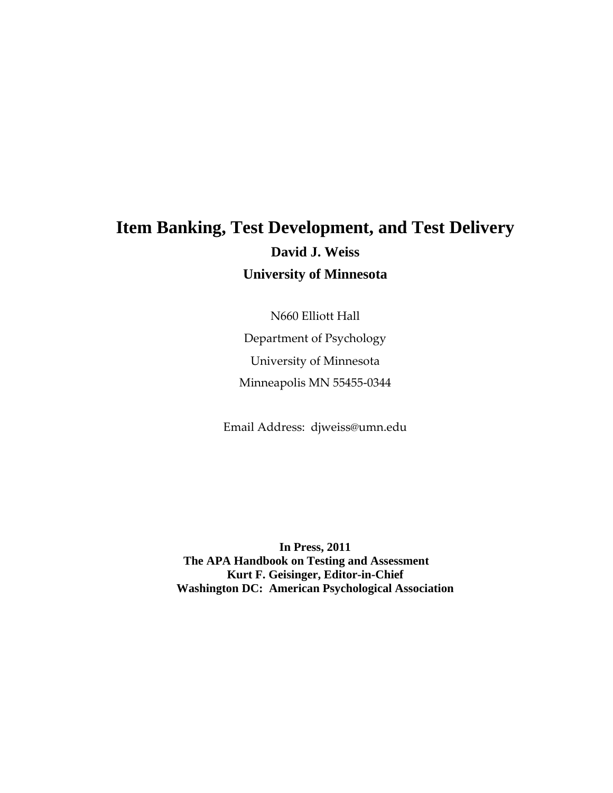# **Item Banking, Test Development, and Test Delivery David J. Weiss University of Minnesota**

N660 Elliott Hall Department of Psychology University of Minnesota Minneapolis MN 55455-0344

Email Address: djweiss@umn.edu

**In Press, 2011 The APA Handbook on Testing and Assessment Kurt F. Geisinger, Editor-in-Chief Washington DC: American Psychological Association**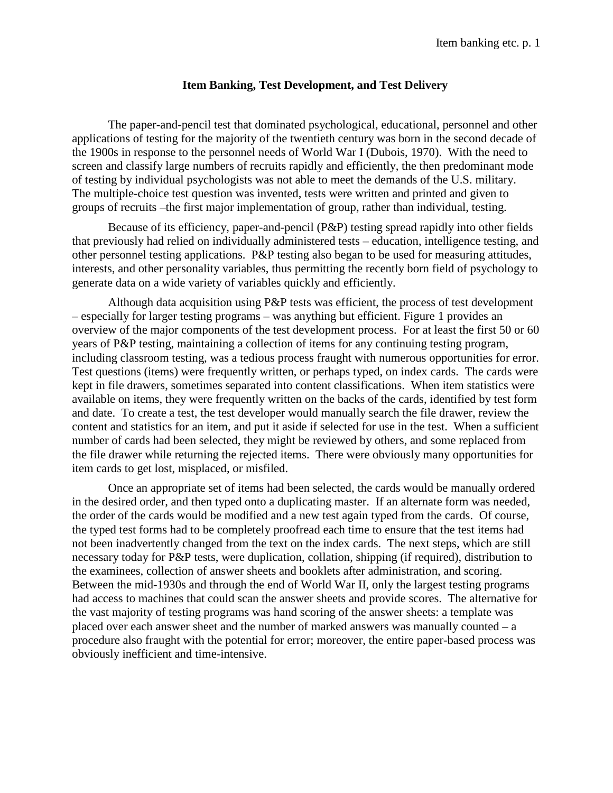#### **Item Banking, Test Development, and Test Delivery**

The paper-and-pencil test that dominated psychological, educational, personnel and other applications of testing for the majority of the twentieth century was born in the second decade of the 1900s in response to the personnel needs of World War I (Dubois, 1970). With the need to screen and classify large numbers of recruits rapidly and efficiently, the then predominant mode of testing by individual psychologists was not able to meet the demands of the U.S. military. The multiple-choice test question was invented, tests were written and printed and given to groups of recruits –the first major implementation of group, rather than individual, testing.

Because of its efficiency, paper-and-pencil (P&P) testing spread rapidly into other fields that previously had relied on individually administered tests – education, intelligence testing, and other personnel testing applications. P&P testing also began to be used for measuring attitudes, interests, and other personality variables, thus permitting the recently born field of psychology to generate data on a wide variety of variables quickly and efficiently.

Although data acquisition using P&P tests was efficient, the process of test development – especially for larger testing programs – was anything but efficient. Figure 1 provides an overview of the major components of the test development process. For at least the first 50 or 60 years of P&P testing, maintaining a collection of items for any continuing testing program, including classroom testing, was a tedious process fraught with numerous opportunities for error. Test questions (items) were frequently written, or perhaps typed, on index cards. The cards were kept in file drawers, sometimes separated into content classifications. When item statistics were available on items, they were frequently written on the backs of the cards, identified by test form and date. To create a test, the test developer would manually search the file drawer, review the content and statistics for an item, and put it aside if selected for use in the test. When a sufficient number of cards had been selected, they might be reviewed by others, and some replaced from the file drawer while returning the rejected items. There were obviously many opportunities for item cards to get lost, misplaced, or misfiled.

Once an appropriate set of items had been selected, the cards would be manually ordered in the desired order, and then typed onto a duplicating master. If an alternate form was needed, the order of the cards would be modified and a new test again typed from the cards. Of course, the typed test forms had to be completely proofread each time to ensure that the test items had not been inadvertently changed from the text on the index cards. The next steps, which are still necessary today for P&P tests, were duplication, collation, shipping (if required), distribution to the examinees, collection of answer sheets and booklets after administration, and scoring. Between the mid-1930s and through the end of World War II, only the largest testing programs had access to machines that could scan the answer sheets and provide scores. The alternative for the vast majority of testing programs was hand scoring of the answer sheets: a template was placed over each answer sheet and the number of marked answers was manually counted – a procedure also fraught with the potential for error; moreover, the entire paper-based process was obviously inefficient and time-intensive.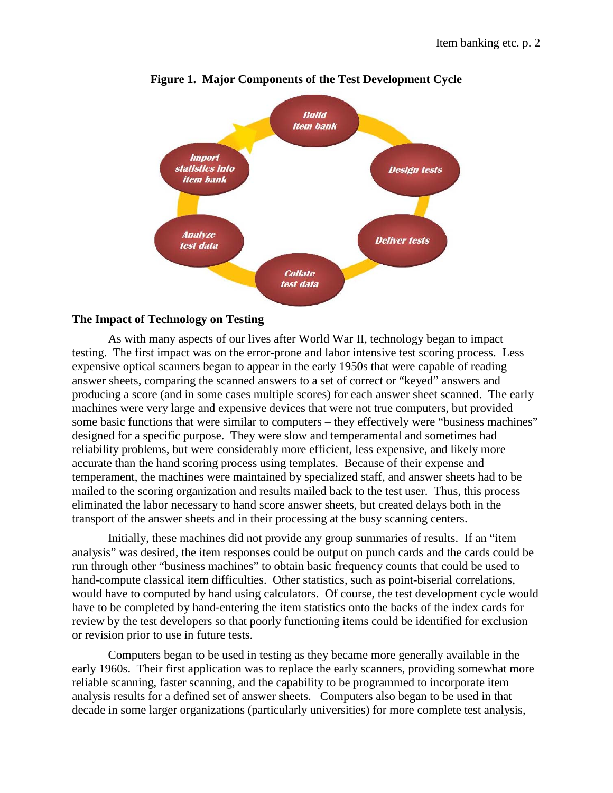

**Figure 1. Major Components of the Test Development Cycle**

## **The Impact of Technology on Testing**

As with many aspects of our lives after World War II, technology began to impact testing. The first impact was on the error-prone and labor intensive test scoring process. Less expensive optical scanners began to appear in the early 1950s that were capable of reading answer sheets, comparing the scanned answers to a set of correct or "keyed" answers and producing a score (and in some cases multiple scores) for each answer sheet scanned. The early machines were very large and expensive devices that were not true computers, but provided some basic functions that were similar to computers – they effectively were "business machines" designed for a specific purpose. They were slow and temperamental and sometimes had reliability problems, but were considerably more efficient, less expensive, and likely more accurate than the hand scoring process using templates. Because of their expense and temperament, the machines were maintained by specialized staff, and answer sheets had to be mailed to the scoring organization and results mailed back to the test user. Thus, this process eliminated the labor necessary to hand score answer sheets, but created delays both in the transport of the answer sheets and in their processing at the busy scanning centers.

Initially, these machines did not provide any group summaries of results. If an "item analysis" was desired, the item responses could be output on punch cards and the cards could be run through other "business machines" to obtain basic frequency counts that could be used to hand-compute classical item difficulties. Other statistics, such as point-biserial correlations, would have to computed by hand using calculators. Of course, the test development cycle would have to be completed by hand-entering the item statistics onto the backs of the index cards for review by the test developers so that poorly functioning items could be identified for exclusion or revision prior to use in future tests.

Computers began to be used in testing as they became more generally available in the early 1960s. Their first application was to replace the early scanners, providing somewhat more reliable scanning, faster scanning, and the capability to be programmed to incorporate item analysis results for a defined set of answer sheets. Computers also began to be used in that decade in some larger organizations (particularly universities) for more complete test analysis,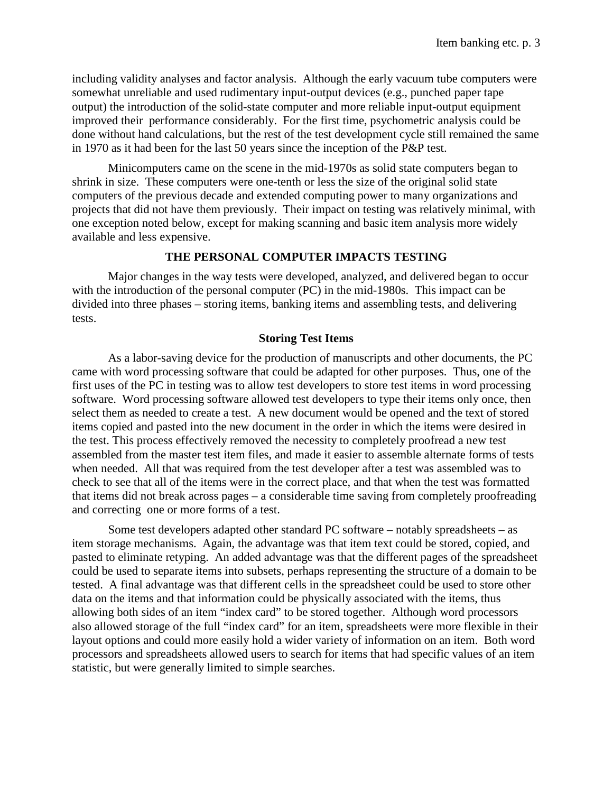including validity analyses and factor analysis. Although the early vacuum tube computers were somewhat unreliable and used rudimentary input-output devices (e.g., punched paper tape output) the introduction of the solid-state computer and more reliable input-output equipment improved their performance considerably. For the first time, psychometric analysis could be done without hand calculations, but the rest of the test development cycle still remained the same in 1970 as it had been for the last 50 years since the inception of the P&P test.

Minicomputers came on the scene in the mid-1970s as solid state computers began to shrink in size. These computers were one-tenth or less the size of the original solid state computers of the previous decade and extended computing power to many organizations and projects that did not have them previously. Their impact on testing was relatively minimal, with one exception noted below, except for making scanning and basic item analysis more widely available and less expensive.

#### **THE PERSONAL COMPUTER IMPACTS TESTING**

Major changes in the way tests were developed, analyzed, and delivered began to occur with the introduction of the personal computer (PC) in the mid-1980s. This impact can be divided into three phases – storing items, banking items and assembling tests, and delivering tests.

#### **Storing Test Items**

As a labor-saving device for the production of manuscripts and other documents, the PC came with word processing software that could be adapted for other purposes. Thus, one of the first uses of the PC in testing was to allow test developers to store test items in word processing software. Word processing software allowed test developers to type their items only once, then select them as needed to create a test. A new document would be opened and the text of stored items copied and pasted into the new document in the order in which the items were desired in the test. This process effectively removed the necessity to completely proofread a new test assembled from the master test item files, and made it easier to assemble alternate forms of tests when needed. All that was required from the test developer after a test was assembled was to check to see that all of the items were in the correct place, and that when the test was formatted that items did not break across pages – a considerable time saving from completely proofreading and correcting one or more forms of a test.

Some test developers adapted other standard PC software – notably spreadsheets – as item storage mechanisms. Again, the advantage was that item text could be stored, copied, and pasted to eliminate retyping. An added advantage was that the different pages of the spreadsheet could be used to separate items into subsets, perhaps representing the structure of a domain to be tested. A final advantage was that different cells in the spreadsheet could be used to store other data on the items and that information could be physically associated with the items, thus allowing both sides of an item "index card" to be stored together. Although word processors also allowed storage of the full "index card" for an item, spreadsheets were more flexible in their layout options and could more easily hold a wider variety of information on an item. Both word processors and spreadsheets allowed users to search for items that had specific values of an item statistic, but were generally limited to simple searches.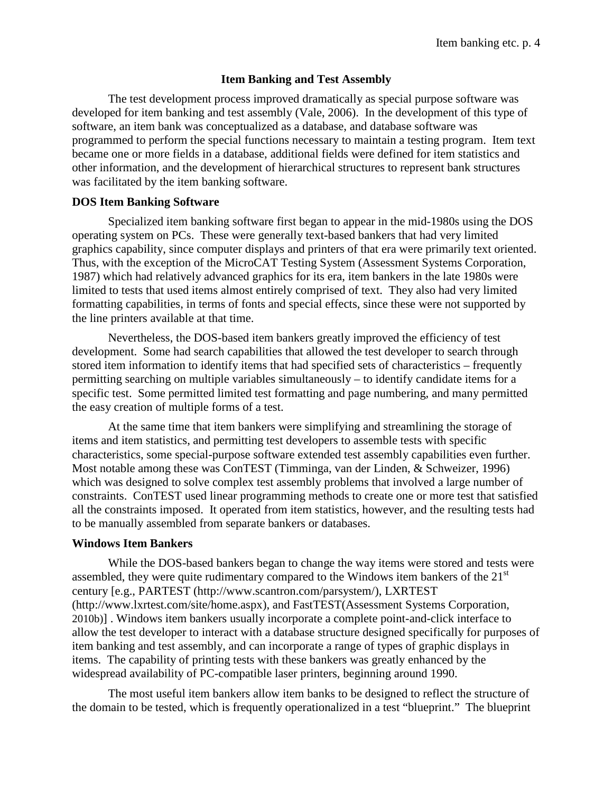## **Item Banking and Test Assembly**

The test development process improved dramatically as special purpose software was developed for item banking and test assembly (Vale, 2006). In the development of this type of software, an item bank was conceptualized as a database, and database software was programmed to perform the special functions necessary to maintain a testing program. Item text became one or more fields in a database, additional fields were defined for item statistics and other information, and the development of hierarchical structures to represent bank structures was facilitated by the item banking software.

## **DOS Item Banking Software**

Specialized item banking software first began to appear in the mid-1980s using the DOS operating system on PCs. These were generally text-based bankers that had very limited graphics capability, since computer displays and printers of that era were primarily text oriented. Thus, with the exception of the MicroCAT Testing System (Assessment Systems Corporation, 1987) which had relatively advanced graphics for its era, item bankers in the late 1980s were limited to tests that used items almost entirely comprised of text. They also had very limited formatting capabilities, in terms of fonts and special effects, since these were not supported by the line printers available at that time.

Nevertheless, the DOS-based item bankers greatly improved the efficiency of test development. Some had search capabilities that allowed the test developer to search through stored item information to identify items that had specified sets of characteristics – frequently permitting searching on multiple variables simultaneously – to identify candidate items for a specific test. Some permitted limited test formatting and page numbering, and many permitted the easy creation of multiple forms of a test.

At the same time that item bankers were simplifying and streamlining the storage of items and item statistics, and permitting test developers to assemble tests with specific characteristics, some special-purpose software extended test assembly capabilities even further. Most notable among these was ConTEST (Timminga, van der Linden, & Schweizer, 1996) which was designed to solve complex test assembly problems that involved a large number of constraints. ConTEST used linear programming methods to create one or more test that satisfied all the constraints imposed. It operated from item statistics, however, and the resulting tests had to be manually assembled from separate bankers or databases.

## **Windows Item Bankers**

While the DOS-based bankers began to change the way items were stored and tests were assembled, they were quite rudimentary compared to the Windows item bankers of the  $21<sup>st</sup>$ century [e.g., PARTEST (http://www.scantron.com/parsystem/), LXRTEST (http://www.lxrtest.com/site/home.aspx), and FastTEST(Assessment Systems Corporation, 2010b)] . Windows item bankers usually incorporate a complete point-and-click interface to allow the test developer to interact with a database structure designed specifically for purposes of item banking and test assembly, and can incorporate a range of types of graphic displays in items. The capability of printing tests with these bankers was greatly enhanced by the widespread availability of PC-compatible laser printers, beginning around 1990.

The most useful item bankers allow item banks to be designed to reflect the structure of the domain to be tested, which is frequently operationalized in a test "blueprint." The blueprint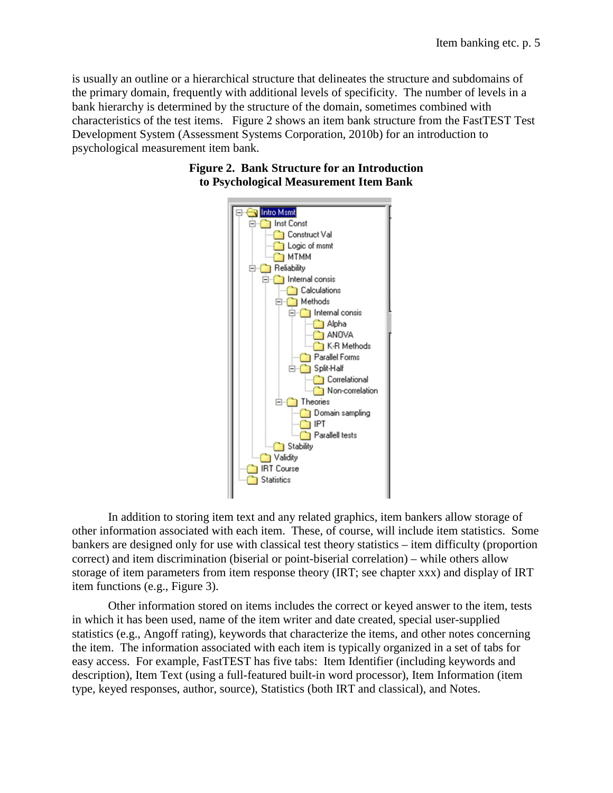is usually an outline or a hierarchical structure that delineates the structure and subdomains of the primary domain, frequently with additional levels of specificity. The number of levels in a bank hierarchy is determined by the structure of the domain, sometimes combined with characteristics of the test items. Figure 2 shows an item bank structure from the FastTEST Test Development System (Assessment Systems Corporation, 2010b) for an introduction to psychological measurement item bank.



# **Figure 2. Bank Structure for an Introduction to Psychological Measurement Item Bank**

In addition to storing item text and any related graphics, item bankers allow storage of other information associated with each item. These, of course, will include item statistics. Some bankers are designed only for use with classical test theory statistics – item difficulty (proportion correct) and item discrimination (biserial or point-biserial correlation) – while others allow storage of item parameters from item response theory (IRT; see chapter xxx) and display of IRT item functions (e.g., Figure 3).

Other information stored on items includes the correct or keyed answer to the item, tests in which it has been used, name of the item writer and date created, special user-supplied statistics (e.g., Angoff rating), keywords that characterize the items, and other notes concerning the item. The information associated with each item is typically organized in a set of tabs for easy access. For example, FastTEST has five tabs: Item Identifier (including keywords and description), Item Text (using a full-featured built-in word processor), Item Information (item type, keyed responses, author, source), Statistics (both IRT and classical), and Notes.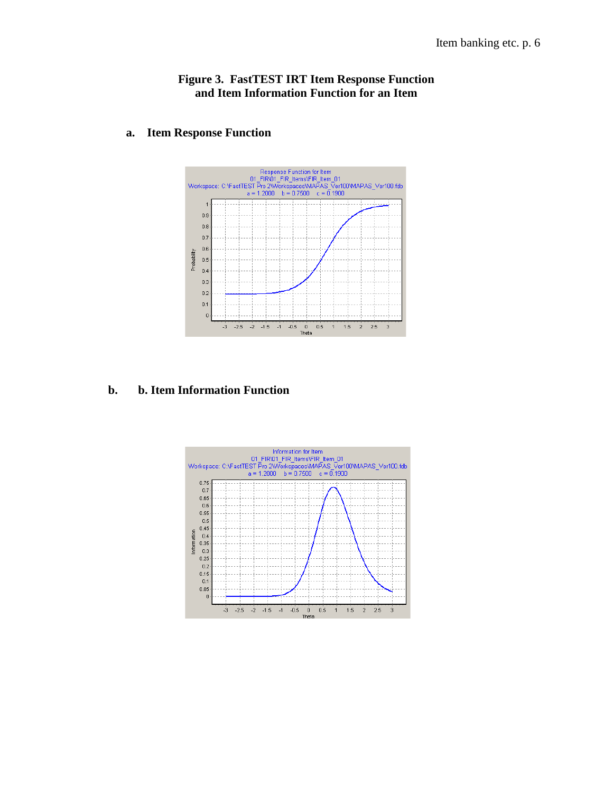## **Figure 3. FastTEST IRT Item Response Function and Item Information Function for an Item**



## **a. Item Response Function**

## **b. b. Item Information Function**

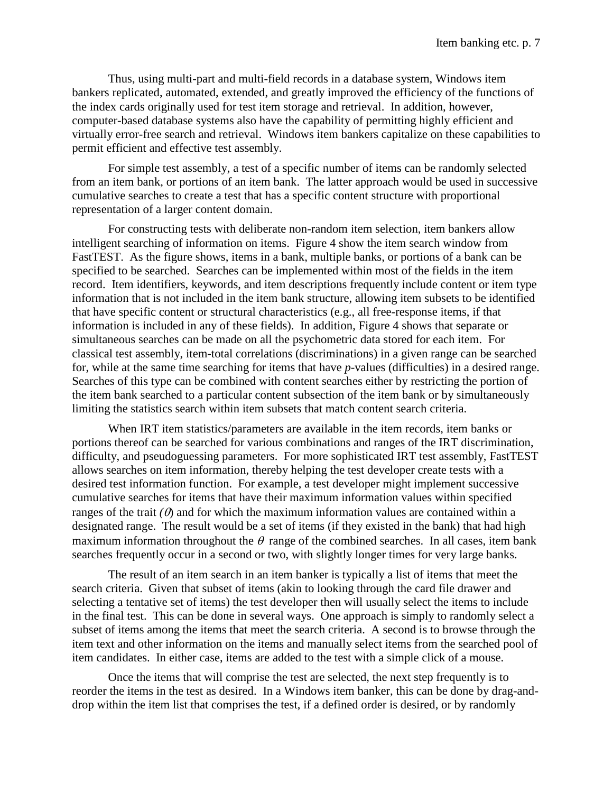Thus, using multi-part and multi-field records in a database system, Windows item bankers replicated, automated, extended, and greatly improved the efficiency of the functions of the index cards originally used for test item storage and retrieval. In addition, however, computer-based database systems also have the capability of permitting highly efficient and virtually error-free search and retrieval. Windows item bankers capitalize on these capabilities to permit efficient and effective test assembly.

For simple test assembly, a test of a specific number of items can be randomly selected from an item bank, or portions of an item bank. The latter approach would be used in successive cumulative searches to create a test that has a specific content structure with proportional representation of a larger content domain.

For constructing tests with deliberate non-random item selection, item bankers allow intelligent searching of information on items. Figure 4 show the item search window from FastTEST. As the figure shows, items in a bank, multiple banks, or portions of a bank can be specified to be searched. Searches can be implemented within most of the fields in the item record. Item identifiers, keywords, and item descriptions frequently include content or item type information that is not included in the item bank structure, allowing item subsets to be identified that have specific content or structural characteristics (e.g., all free-response items, if that information is included in any of these fields). In addition, Figure 4 shows that separate or simultaneous searches can be made on all the psychometric data stored for each item. For classical test assembly, item-total correlations (discriminations) in a given range can be searched for, while at the same time searching for items that have *p*-values (difficulties) in a desired range. Searches of this type can be combined with content searches either by restricting the portion of the item bank searched to a particular content subsection of the item bank or by simultaneously limiting the statistics search within item subsets that match content search criteria.

When IRT item statistics/parameters are available in the item records, item banks or portions thereof can be searched for various combinations and ranges of the IRT discrimination, difficulty, and pseudoguessing parameters. For more sophisticated IRT test assembly, FastTEST allows searches on item information, thereby helping the test developer create tests with a desired test information function. For example, a test developer might implement successive cumulative searches for items that have their maximum information values within specified ranges of the trait  $(\theta)$  and for which the maximum information values are contained within a designated range. The result would be a set of items (if they existed in the bank) that had high maximum information throughout the  $\theta$  range of the combined searches. In all cases, item bank searches frequently occur in a second or two, with slightly longer times for very large banks.

The result of an item search in an item banker is typically a list of items that meet the search criteria. Given that subset of items (akin to looking through the card file drawer and selecting a tentative set of items) the test developer then will usually select the items to include in the final test. This can be done in several ways. One approach is simply to randomly select a subset of items among the items that meet the search criteria. A second is to browse through the item text and other information on the items and manually select items from the searched pool of item candidates. In either case, items are added to the test with a simple click of a mouse.

Once the items that will comprise the test are selected, the next step frequently is to reorder the items in the test as desired. In a Windows item banker, this can be done by drag-anddrop within the item list that comprises the test, if a defined order is desired, or by randomly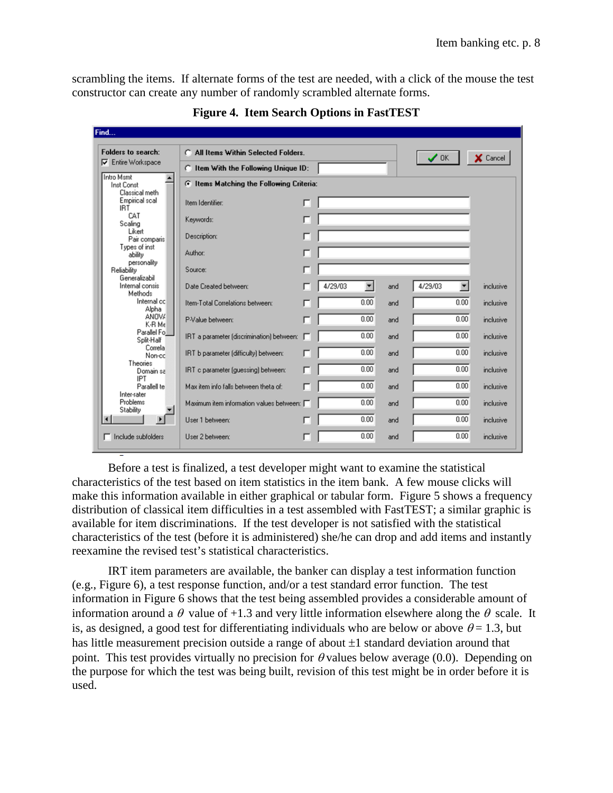scrambling the items. If alternate forms of the test are needed, with a click of the mouse the test constructor can create any number of randomly scrambled alternate forms.

| <b>Folders to search:</b>                   | C. All Items Within Selected Folders.<br>C Item With the Following Unique ID: |   |         |                          |     | $\boldsymbol{J}$ OK |                          | X Cancel  |
|---------------------------------------------|-------------------------------------------------------------------------------|---|---------|--------------------------|-----|---------------------|--------------------------|-----------|
| <b>V</b> Entire Workspace                   |                                                                               |   |         |                          |     |                     |                          |           |
| Intro Msmt<br>Inst Const<br>Classical meth  | <b>G</b> Items Matching the Following Criteria:                               |   |         |                          |     |                     |                          |           |
| Empirical scal<br><b>IRT</b>                | Item Identifier:                                                              | г |         |                          |     |                     |                          |           |
| CAT<br>Scaling                              | Keywords:                                                                     | г |         |                          |     |                     |                          |           |
| Likert<br>Pair comparis                     | Description:                                                                  | г |         |                          |     |                     |                          |           |
| Types of inst<br>ability                    | Author:                                                                       | г |         |                          |     |                     |                          |           |
| personality<br>Reliability                  | Source:                                                                       | г |         |                          |     |                     |                          |           |
| Generalizabil<br>Internal consis<br>Methods | Date Created between:                                                         | г | 4/29/03 | $\overline{\phantom{a}}$ | and | 4/29/03             | $\overline{\phantom{a}}$ | inclusive |
| Internal cc<br>Alpha                        | Item-Total Correlations between:                                              | г |         | 0.00                     | and |                     | 0.00                     | inclusive |
| <b>ANOVA</b><br>$K-R$ Me                    | P-Value between:                                                              | г |         | 0.00                     | and |                     | 0.00                     | inclusive |
| Parallel Fo<br>Split-Half                   | IRT a parameter (discrimination) between:                                     |   |         | 0.00                     | and |                     | 0.00                     | inclusive |
| Correla<br>Non-cc                           | IRT b parameter (difficulty) between:                                         | г |         | 0.00                     | and |                     | 0.00                     | inclusive |
| Theories<br>Domain sa                       | IRT c parameter (guessing) between:                                           | г |         | 0.00                     | and |                     | 0.00                     | inclusive |
| IPT<br>Parallell te<br>Inter-rater          | Max item info falls between theta of:                                         | г |         | 0.00                     | and |                     | 0.00                     | inclusive |
| Problems<br>Stability                       | Maximum item information values between:                                      |   |         | 0.00                     | and |                     | 0.00                     | inclusive |
|                                             | User 1 between:                                                               | г |         | 0.00                     | and |                     | 0.00                     | inclusive |
| $\Box$ Include subfolders                   | User 2 between:                                                               | г |         | 0.00                     | and |                     | 0.00                     | inclusive |

**Figure 4. Item Search Options in FastTEST**

Before a test is finalized, a test developer might want to examine the statistical characteristics of the test based on item statistics in the item bank. A few mouse clicks will make this information available in either graphical or tabular form. Figure 5 shows a frequency distribution of classical item difficulties in a test assembled with FastTEST; a similar graphic is available for item discriminations. If the test developer is not satisfied with the statistical characteristics of the test (before it is administered) she/he can drop and add items and instantly reexamine the revised test's statistical characteristics.

IRT item parameters are available, the banker can display a test information function (e.g., Figure 6), a test response function, and/or a test standard error function. The test information in Figure 6 shows that the test being assembled provides a considerable amount of information around a  $\theta$  value of +1.3 and very little information elsewhere along the  $\theta$  scale. It is, as designed, a good test for differentiating individuals who are below or above  $\theta = 1.3$ , but has little measurement precision outside a range of about  $\pm 1$  standard deviation around that point. This test provides virtually no precision for  $\theta$  values below average (0.0). Depending on the purpose for which the test was being built, revision of this test might be in order before it is used.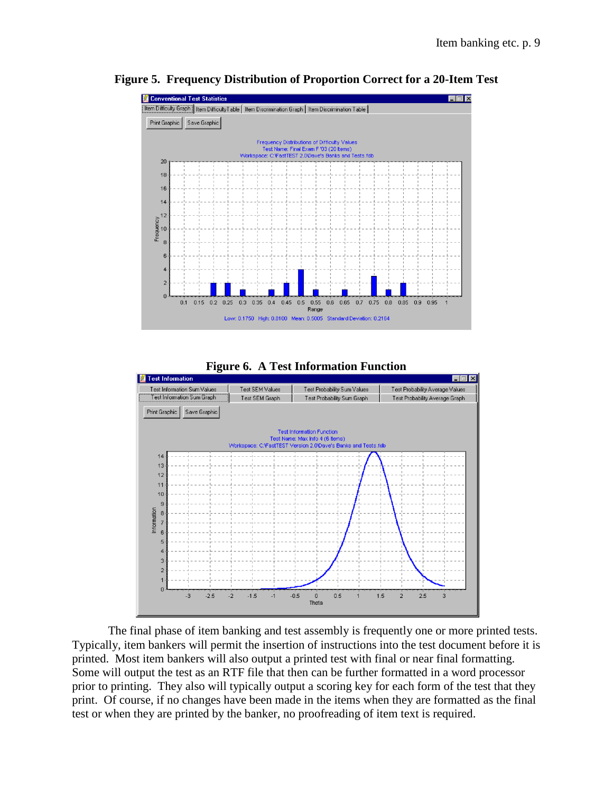

**Figure 5. Frequency Distribution of Proportion Correct for a 20-Item Test**





The final phase of item banking and test assembly is frequently one or more printed tests. Typically, item bankers will permit the insertion of instructions into the test document before it is printed. Most item bankers will also output a printed test with final or near final formatting. Some will output the test as an RTF file that then can be further formatted in a word processor prior to printing. They also will typically output a scoring key for each form of the test that they print. Of course, if no changes have been made in the items when they are formatted as the final test or when they are printed by the banker, no proofreading of item text is required.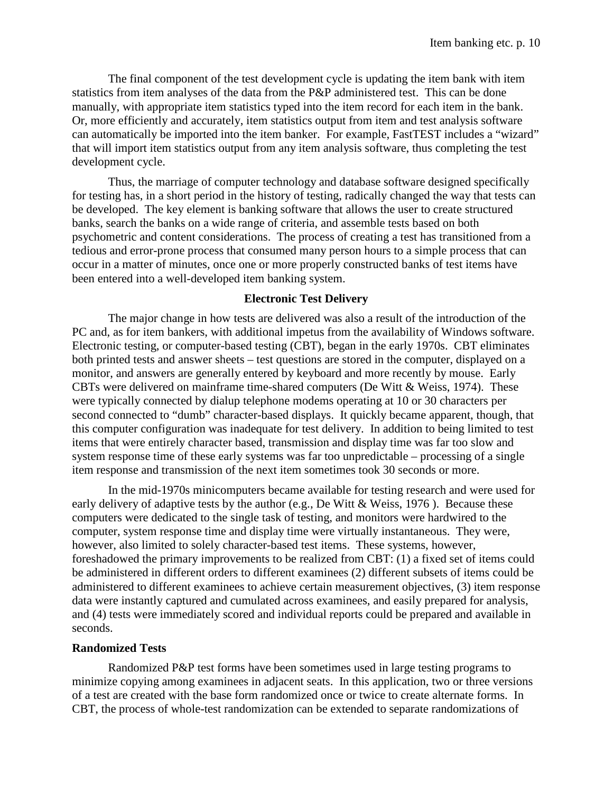The final component of the test development cycle is updating the item bank with item statistics from item analyses of the data from the P&P administered test. This can be done manually, with appropriate item statistics typed into the item record for each item in the bank. Or, more efficiently and accurately, item statistics output from item and test analysis software can automatically be imported into the item banker. For example, FastTEST includes a "wizard" that will import item statistics output from any item analysis software, thus completing the test development cycle.

Thus, the marriage of computer technology and database software designed specifically for testing has, in a short period in the history of testing, radically changed the way that tests can be developed. The key element is banking software that allows the user to create structured banks, search the banks on a wide range of criteria, and assemble tests based on both psychometric and content considerations. The process of creating a test has transitioned from a tedious and error-prone process that consumed many person hours to a simple process that can occur in a matter of minutes, once one or more properly constructed banks of test items have been entered into a well-developed item banking system.

#### **Electronic Test Delivery**

The major change in how tests are delivered was also a result of the introduction of the PC and, as for item bankers, with additional impetus from the availability of Windows software. Electronic testing, or computer-based testing (CBT), began in the early 1970s. CBT eliminates both printed tests and answer sheets – test questions are stored in the computer, displayed on a monitor, and answers are generally entered by keyboard and more recently by mouse. Early CBTs were delivered on mainframe time-shared computers (De Witt & Weiss, 1974). These were typically connected by dialup telephone modems operating at 10 or 30 characters per second connected to "dumb" character-based displays. It quickly became apparent, though, that this computer configuration was inadequate for test delivery. In addition to being limited to test items that were entirely character based, transmission and display time was far too slow and system response time of these early systems was far too unpredictable – processing of a single item response and transmission of the next item sometimes took 30 seconds or more.

In the mid-1970s minicomputers became available for testing research and were used for early delivery of adaptive tests by the author (e.g., De Witt & Weiss, 1976 ). Because these computers were dedicated to the single task of testing, and monitors were hardwired to the computer, system response time and display time were virtually instantaneous. They were, however, also limited to solely character-based test items. These systems, however, foreshadowed the primary improvements to be realized from CBT: (1) a fixed set of items could be administered in different orders to different examinees (2) different subsets of items could be administered to different examinees to achieve certain measurement objectives, (3) item response data were instantly captured and cumulated across examinees, and easily prepared for analysis, and (4) tests were immediately scored and individual reports could be prepared and available in seconds.

#### **Randomized Tests**

Randomized P&P test forms have been sometimes used in large testing programs to minimize copying among examinees in adjacent seats. In this application, two or three versions of a test are created with the base form randomized once or twice to create alternate forms. In CBT, the process of whole-test randomization can be extended to separate randomizations of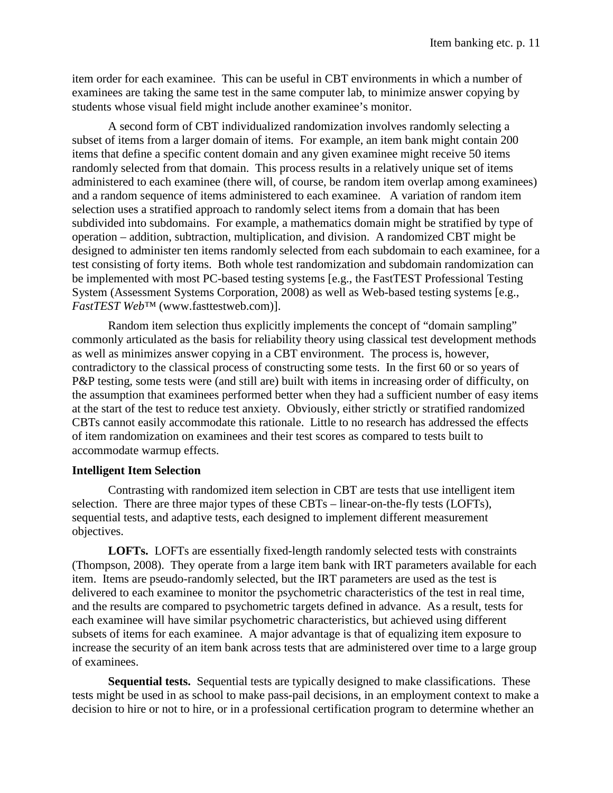item order for each examinee. This can be useful in CBT environments in which a number of examinees are taking the same test in the same computer lab, to minimize answer copying by students whose visual field might include another examinee's monitor.

A second form of CBT individualized randomization involves randomly selecting a subset of items from a larger domain of items. For example, an item bank might contain 200 items that define a specific content domain and any given examinee might receive 50 items randomly selected from that domain. This process results in a relatively unique set of items administered to each examinee (there will, of course, be random item overlap among examinees) and a random sequence of items administered to each examinee. A variation of random item selection uses a stratified approach to randomly select items from a domain that has been subdivided into subdomains. For example, a mathematics domain might be stratified by type of operation – addition, subtraction, multiplication, and division. A randomized CBT might be designed to administer ten items randomly selected from each subdomain to each examinee, for a test consisting of forty items. Both whole test randomization and subdomain randomization can be implemented with most PC-based testing systems [e.g., the FastTEST Professional Testing System (Assessment Systems Corporation, 2008) as well as Web-based testing systems [e.g., *FastTEST Web™* (www.fasttestweb.com)].

Random item selection thus explicitly implements the concept of "domain sampling" commonly articulated as the basis for reliability theory using classical test development methods as well as minimizes answer copying in a CBT environment. The process is, however, contradictory to the classical process of constructing some tests. In the first 60 or so years of P&P testing, some tests were (and still are) built with items in increasing order of difficulty, on the assumption that examinees performed better when they had a sufficient number of easy items at the start of the test to reduce test anxiety. Obviously, either strictly or stratified randomized CBTs cannot easily accommodate this rationale. Little to no research has addressed the effects of item randomization on examinees and their test scores as compared to tests built to accommodate warmup effects.

## **Intelligent Item Selection**

Contrasting with randomized item selection in CBT are tests that use intelligent item selection. There are three major types of these CBTs – linear-on-the-fly tests (LOFTs), sequential tests, and adaptive tests, each designed to implement different measurement objectives.

**LOFTs.** LOFTs are essentially fixed-length randomly selected tests with constraints (Thompson, 2008). They operate from a large item bank with IRT parameters available for each item. Items are pseudo-randomly selected, but the IRT parameters are used as the test is delivered to each examinee to monitor the psychometric characteristics of the test in real time, and the results are compared to psychometric targets defined in advance. As a result, tests for each examinee will have similar psychometric characteristics, but achieved using different subsets of items for each examinee. A major advantage is that of equalizing item exposure to increase the security of an item bank across tests that are administered over time to a large group of examinees.

**Sequential tests.**Sequential tests are typically designed to make classifications. These tests might be used in as school to make pass-pail decisions, in an employment context to make a decision to hire or not to hire, or in a professional certification program to determine whether an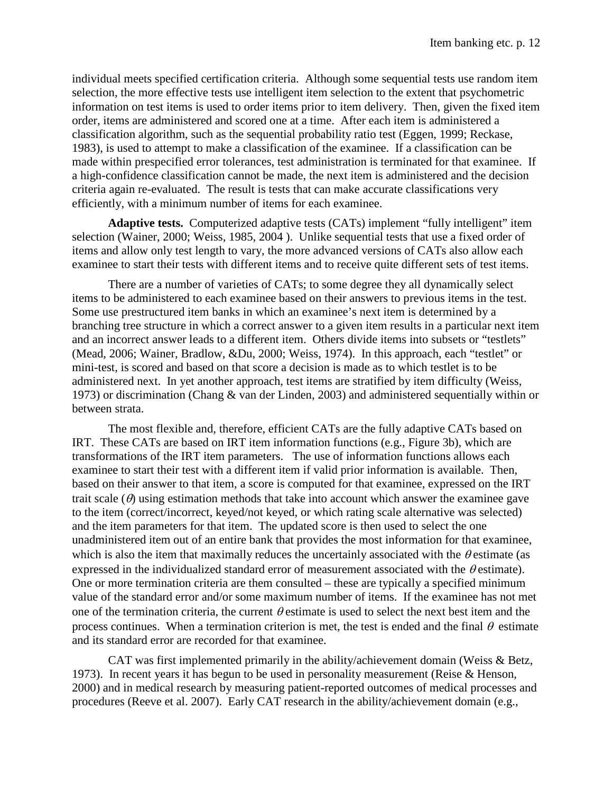individual meets specified certification criteria. Although some sequential tests use random item selection, the more effective tests use intelligent item selection to the extent that psychometric information on test items is used to order items prior to item delivery. Then, given the fixed item order, items are administered and scored one at a time. After each item is administered a classification algorithm, such as the sequential probability ratio test (Eggen, 1999; Reckase, 1983), is used to attempt to make a classification of the examinee. If a classification can be made within prespecified error tolerances, test administration is terminated for that examinee. If a high-confidence classification cannot be made, the next item is administered and the decision criteria again re-evaluated. The result is tests that can make accurate classifications very efficiently, with a minimum number of items for each examinee.

**Adaptive tests.** Computerized adaptive tests (CATs) implement "fully intelligent" item selection (Wainer, 2000; Weiss, 1985, 2004 ). Unlike sequential tests that use a fixed order of items and allow only test length to vary, the more advanced versions of CATs also allow each examinee to start their tests with different items and to receive quite different sets of test items.

There are a number of varieties of CATs; to some degree they all dynamically select items to be administered to each examinee based on their answers to previous items in the test. Some use prestructured item banks in which an examinee's next item is determined by a branching tree structure in which a correct answer to a given item results in a particular next item and an incorrect answer leads to a different item. Others divide items into subsets or "testlets" (Mead, 2006; Wainer, Bradlow, &Du, 2000; Weiss, 1974). In this approach, each "testlet" or mini-test, is scored and based on that score a decision is made as to which testlet is to be administered next. In yet another approach, test items are stratified by item difficulty (Weiss, 1973) or discrimination (Chang & van der Linden, 2003) and administered sequentially within or between strata.

The most flexible and, therefore, efficient CATs are the fully adaptive CATs based on IRT. These CATs are based on IRT item information functions (e.g., Figure 3b), which are transformations of the IRT item parameters. The use of information functions allows each examinee to start their test with a different item if valid prior information is available. Then, based on their answer to that item, a score is computed for that examinee, expressed on the IRT trait scale  $(\theta)$  using estimation methods that take into account which answer the examinee gave to the item (correct/incorrect, keyed/not keyed, or which rating scale alternative was selected) and the item parameters for that item. The updated score is then used to select the one unadministered item out of an entire bank that provides the most information for that examinee, which is also the item that maximally reduces the uncertainly associated with the  $\theta$  estimate (as expressed in the individualized standard error of measurement associated with the  $\theta$  estimate). One or more termination criteria are them consulted – these are typically a specified minimum value of the standard error and/or some maximum number of items. If the examinee has not met one of the termination criteria, the current  $\theta$  estimate is used to select the next best item and the process continues. When a termination criterion is met, the test is ended and the final  $\theta$  estimate and its standard error are recorded for that examinee.

CAT was first implemented primarily in the ability/achievement domain (Weiss & Betz, 1973). In recent years it has begun to be used in personality measurement (Reise & Henson, 2000) and in medical research by measuring patient-reported outcomes of medical processes and procedures (Reeve et al. 2007). Early CAT research in the ability/achievement domain (e.g.,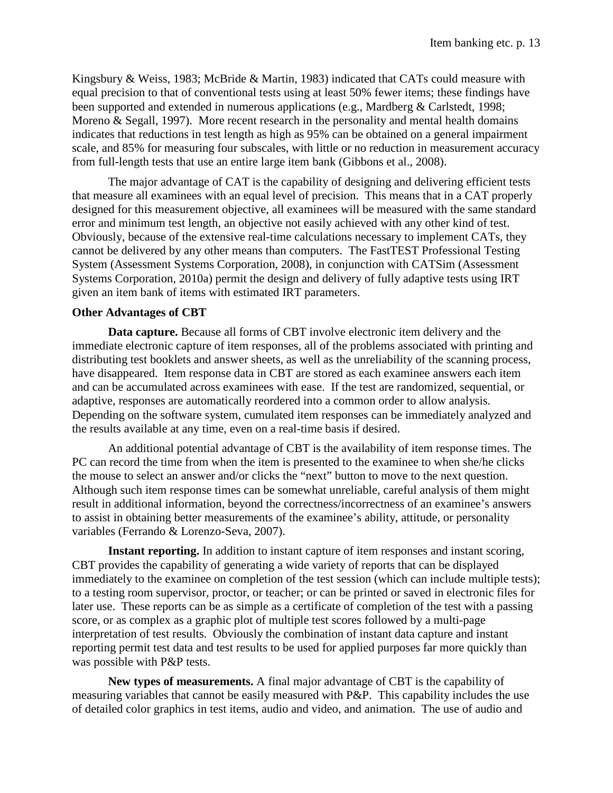Kingsbury & Weiss, 1983; McBride & Martin, 1983) indicated that CATs could measure with equal precision to that of conventional tests using at least 50% fewer items; these findings have been supported and extended in numerous applications (e.g., Mardberg & Carlstedt, 1998; Moreno & Segall, 1997). More recent research in the personality and mental health domains indicates that reductions in test length as high as 95% can be obtained on a general impairment scale, and 85% for measuring four subscales, with little or no reduction in measurement accuracy from full-length tests that use an entire large item bank (Gibbons et al., 2008).

The major advantage of CAT is the capability of designing and delivering efficient tests that measure all examinees with an equal level of precision. This means that in a CAT properly designed for this measurement objective, all examinees will be measured with the same standard error and minimum test length, an objective not easily achieved with any other kind of test. Obviously, because of the extensive real-time calculations necessary to implement CATs, they cannot be delivered by any other means than computers. The FastTEST Professional Testing System (Assessment Systems Corporation, 2008), in conjunction with CATSim (Assessment Systems Corporation, 2010a) permit the design and delivery of fully adaptive tests using IRT given an item bank of items with estimated IRT parameters.

## **Other Advantages of CBT**

**Data capture.** Because all forms of CBT involve electronic item delivery and the immediate electronic capture of item responses, all of the problems associated with printing and distributing test booklets and answer sheets, as well as the unreliability of the scanning process, have disappeared. Item response data in CBT are stored as each examinee answers each item and can be accumulated across examinees with ease. If the test are randomized, sequential, or adaptive, responses are automatically reordered into a common order to allow analysis. Depending on the software system, cumulated item responses can be immediately analyzed and the results available at any time, even on a real-time basis if desired.

An additional potential advantage of CBT is the availability of item response times. The PC can record the time from when the item is presented to the examinee to when she/he clicks the mouse to select an answer and/or clicks the "next" button to move to the next question. Although such item response times can be somewhat unreliable, careful analysis of them might result in additional information, beyond the correctness/incorrectness of an examinee's answers to assist in obtaining better measurements of the examinee's ability, attitude, or personality variables (Ferrando & Lorenzo-Seva, 2007).

**Instant reporting.** In addition to instant capture of item responses and instant scoring, CBT provides the capability of generating a wide variety of reports that can be displayed immediately to the examinee on completion of the test session (which can include multiple tests); to a testing room supervisor, proctor, or teacher; or can be printed or saved in electronic files for later use. These reports can be as simple as a certificate of completion of the test with a passing score, or as complex as a graphic plot of multiple test scores followed by a multi-page interpretation of test results. Obviously the combination of instant data capture and instant reporting permit test data and test results to be used for applied purposes far more quickly than was possible with P&P tests.

**New types of measurements.** A final major advantage of CBT is the capability of measuring variables that cannot be easily measured with P&P. This capability includes the use of detailed color graphics in test items, audio and video, and animation. The use of audio and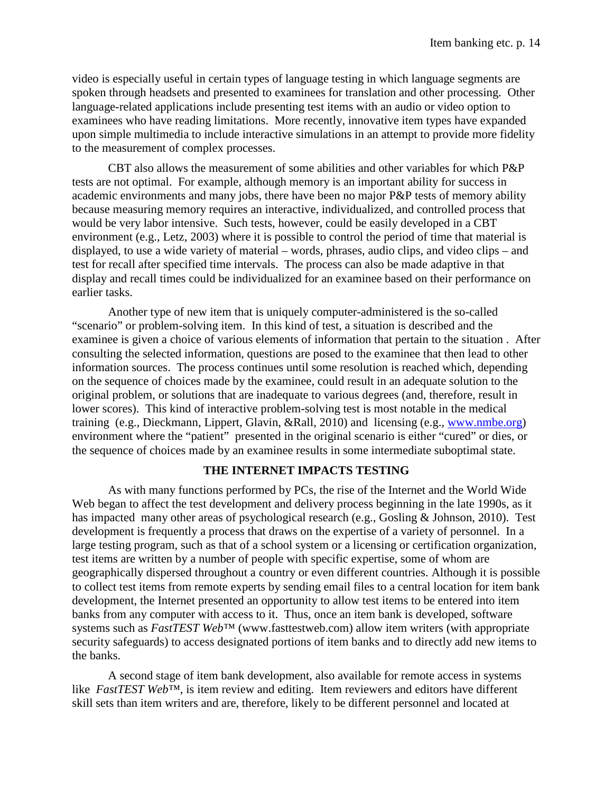video is especially useful in certain types of language testing in which language segments are spoken through headsets and presented to examinees for translation and other processing. Other language-related applications include presenting test items with an audio or video option to examinees who have reading limitations. More recently, innovative item types have expanded upon simple multimedia to include interactive simulations in an attempt to provide more fidelity to the measurement of complex processes.

CBT also allows the measurement of some abilities and other variables for which P&P tests are not optimal. For example, although memory is an important ability for success in academic environments and many jobs, there have been no major P&P tests of memory ability because measuring memory requires an interactive, individualized, and controlled process that would be very labor intensive. Such tests, however, could be easily developed in a CBT environment (e.g., Letz, 2003) where it is possible to control the period of time that material is displayed, to use a wide variety of material – words, phrases, audio clips, and video clips – and test for recall after specified time intervals. The process can also be made adaptive in that display and recall times could be individualized for an examinee based on their performance on earlier tasks.

Another type of new item that is uniquely computer-administered is the so-called "scenario" or problem-solving item. In this kind of test, a situation is described and the examinee is given a choice of various elements of information that pertain to the situation . After consulting the selected information, questions are posed to the examinee that then lead to other information sources. The process continues until some resolution is reached which, depending on the sequence of choices made by the examinee, could result in an adequate solution to the original problem, or solutions that are inadequate to various degrees (and, therefore, result in lower scores). This kind of interactive problem-solving test is most notable in the medical training (e.g., Dieckmann, Lippert, Glavin, &Rall, 2010) and licensing (e.g., [www.nmbe.org\)](http://www.nmbe.org/) environment where the "patient" presented in the original scenario is either "cured" or dies, or the sequence of choices made by an examinee results in some intermediate suboptimal state.

#### **THE INTERNET IMPACTS TESTING**

As with many functions performed by PCs, the rise of the Internet and the World Wide Web began to affect the test development and delivery process beginning in the late 1990s, as it has impacted many other areas of psychological research (e.g., Gosling & Johnson, 2010). Test development is frequently a process that draws on the expertise of a variety of personnel. In a large testing program, such as that of a school system or a licensing or certification organization, test items are written by a number of people with specific expertise, some of whom are geographically dispersed throughout a country or even different countries. Although it is possible to collect test items from remote experts by sending email files to a central location for item bank development, the Internet presented an opportunity to allow test items to be entered into item banks from any computer with access to it. Thus, once an item bank is developed, software systems such as *FastTEST Web™* (www.fasttestweb.com) allow item writers (with appropriate security safeguards) to access designated portions of item banks and to directly add new items to the banks.

A second stage of item bank development, also available for remote access in systems like *FastTEST Web™*, is item review and editing. Item reviewers and editors have different skill sets than item writers and are, therefore, likely to be different personnel and located at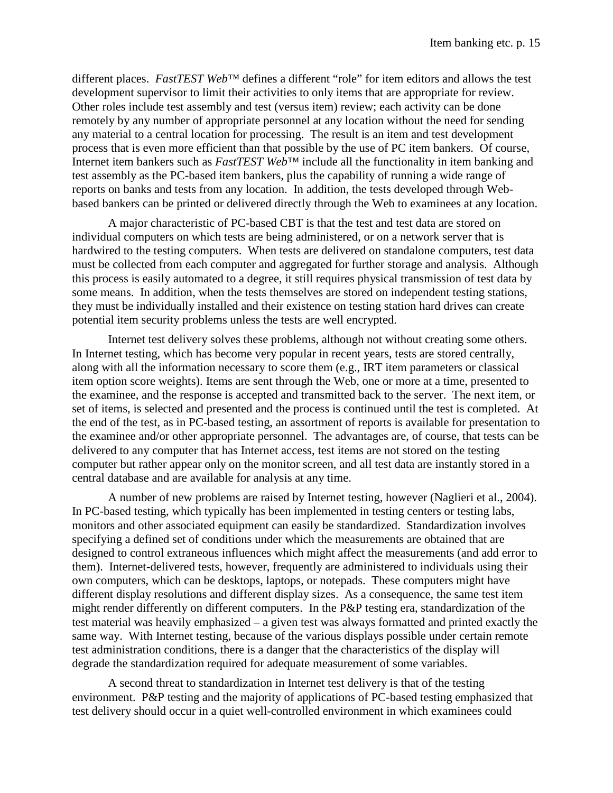different places. *FastTEST Web™* defines a different "role" for item editors and allows the test development supervisor to limit their activities to only items that are appropriate for review. Other roles include test assembly and test (versus item) review; each activity can be done remotely by any number of appropriate personnel at any location without the need for sending any material to a central location for processing. The result is an item and test development process that is even more efficient than that possible by the use of PC item bankers. Of course, Internet item bankers such as *FastTEST Web™* include all the functionality in item banking and test assembly as the PC-based item bankers, plus the capability of running a wide range of reports on banks and tests from any location. In addition, the tests developed through Webbased bankers can be printed or delivered directly through the Web to examinees at any location.

A major characteristic of PC-based CBT is that the test and test data are stored on individual computers on which tests are being administered, or on a network server that is hardwired to the testing computers. When tests are delivered on standalone computers, test data must be collected from each computer and aggregated for further storage and analysis. Although this process is easily automated to a degree, it still requires physical transmission of test data by some means. In addition, when the tests themselves are stored on independent testing stations, they must be individually installed and their existence on testing station hard drives can create potential item security problems unless the tests are well encrypted.

Internet test delivery solves these problems, although not without creating some others. In Internet testing, which has become very popular in recent years, tests are stored centrally, along with all the information necessary to score them (e.g., IRT item parameters or classical item option score weights). Items are sent through the Web, one or more at a time, presented to the examinee, and the response is accepted and transmitted back to the server. The next item, or set of items, is selected and presented and the process is continued until the test is completed. At the end of the test, as in PC-based testing, an assortment of reports is available for presentation to the examinee and/or other appropriate personnel. The advantages are, of course, that tests can be delivered to any computer that has Internet access, test items are not stored on the testing computer but rather appear only on the monitor screen, and all test data are instantly stored in a central database and are available for analysis at any time.

A number of new problems are raised by Internet testing, however (Naglieri et al., 2004). In PC-based testing, which typically has been implemented in testing centers or testing labs, monitors and other associated equipment can easily be standardized. Standardization involves specifying a defined set of conditions under which the measurements are obtained that are designed to control extraneous influences which might affect the measurements (and add error to them). Internet-delivered tests, however, frequently are administered to individuals using their own computers, which can be desktops, laptops, or notepads. These computers might have different display resolutions and different display sizes. As a consequence, the same test item might render differently on different computers. In the P&P testing era, standardization of the test material was heavily emphasized – a given test was always formatted and printed exactly the same way. With Internet testing, because of the various displays possible under certain remote test administration conditions, there is a danger that the characteristics of the display will degrade the standardization required for adequate measurement of some variables.

A second threat to standardization in Internet test delivery is that of the testing environment. P&P testing and the majority of applications of PC-based testing emphasized that test delivery should occur in a quiet well-controlled environment in which examinees could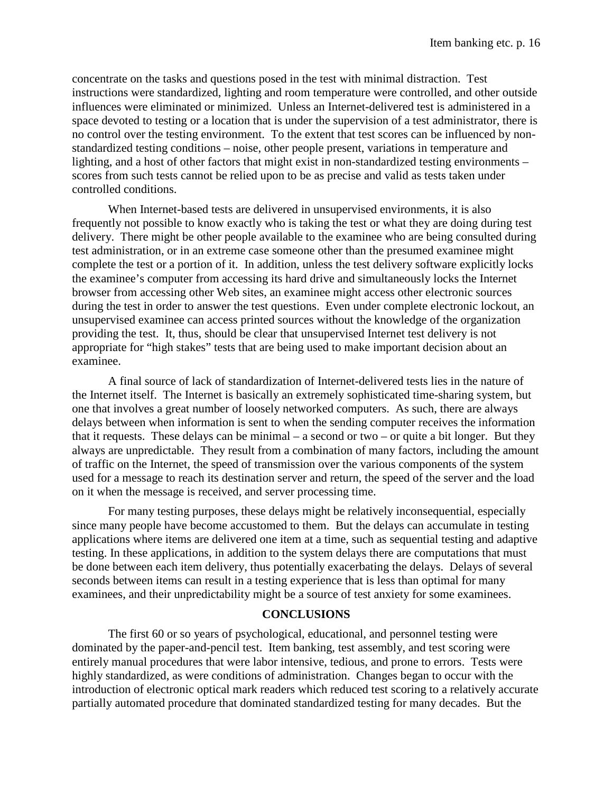concentrate on the tasks and questions posed in the test with minimal distraction. Test instructions were standardized, lighting and room temperature were controlled, and other outside influences were eliminated or minimized. Unless an Internet-delivered test is administered in a space devoted to testing or a location that is under the supervision of a test administrator, there is no control over the testing environment. To the extent that test scores can be influenced by nonstandardized testing conditions – noise, other people present, variations in temperature and lighting, and a host of other factors that might exist in non-standardized testing environments – scores from such tests cannot be relied upon to be as precise and valid as tests taken under controlled conditions.

When Internet-based tests are delivered in unsupervised environments, it is also frequently not possible to know exactly who is taking the test or what they are doing during test delivery. There might be other people available to the examinee who are being consulted during test administration, or in an extreme case someone other than the presumed examinee might complete the test or a portion of it. In addition, unless the test delivery software explicitly locks the examinee's computer from accessing its hard drive and simultaneously locks the Internet browser from accessing other Web sites, an examinee might access other electronic sources during the test in order to answer the test questions. Even under complete electronic lockout, an unsupervised examinee can access printed sources without the knowledge of the organization providing the test. It, thus, should be clear that unsupervised Internet test delivery is not appropriate for "high stakes" tests that are being used to make important decision about an examinee.

A final source of lack of standardization of Internet-delivered tests lies in the nature of the Internet itself. The Internet is basically an extremely sophisticated time-sharing system, but one that involves a great number of loosely networked computers. As such, there are always delays between when information is sent to when the sending computer receives the information that it requests. These delays can be minimal – a second or two – or quite a bit longer. But they always are unpredictable. They result from a combination of many factors, including the amount of traffic on the Internet, the speed of transmission over the various components of the system used for a message to reach its destination server and return, the speed of the server and the load on it when the message is received, and server processing time.

For many testing purposes, these delays might be relatively inconsequential, especially since many people have become accustomed to them. But the delays can accumulate in testing applications where items are delivered one item at a time, such as sequential testing and adaptive testing. In these applications, in addition to the system delays there are computations that must be done between each item delivery, thus potentially exacerbating the delays. Delays of several seconds between items can result in a testing experience that is less than optimal for many examinees, and their unpredictability might be a source of test anxiety for some examinees.

#### **CONCLUSIONS**

The first 60 or so years of psychological, educational, and personnel testing were dominated by the paper-and-pencil test. Item banking, test assembly, and test scoring were entirely manual procedures that were labor intensive, tedious, and prone to errors. Tests were highly standardized, as were conditions of administration. Changes began to occur with the introduction of electronic optical mark readers which reduced test scoring to a relatively accurate partially automated procedure that dominated standardized testing for many decades. But the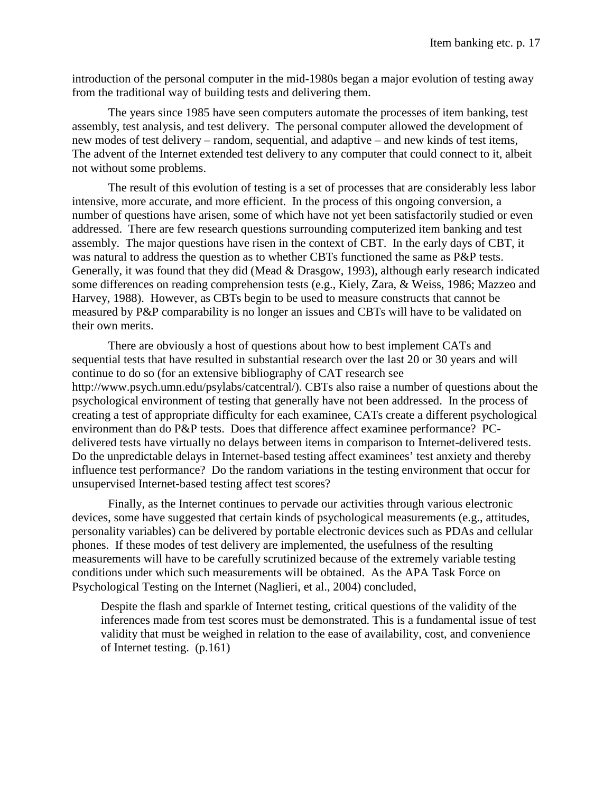introduction of the personal computer in the mid-1980s began a major evolution of testing away from the traditional way of building tests and delivering them.

The years since 1985 have seen computers automate the processes of item banking, test assembly, test analysis, and test delivery. The personal computer allowed the development of new modes of test delivery – random, sequential, and adaptive – and new kinds of test items, The advent of the Internet extended test delivery to any computer that could connect to it, albeit not without some problems.

The result of this evolution of testing is a set of processes that are considerably less labor intensive, more accurate, and more efficient. In the process of this ongoing conversion, a number of questions have arisen, some of which have not yet been satisfactorily studied or even addressed. There are few research questions surrounding computerized item banking and test assembly. The major questions have risen in the context of CBT. In the early days of CBT, it was natural to address the question as to whether CBTs functioned the same as P&P tests. Generally, it was found that they did (Mead & Drasgow, 1993), although early research indicated some differences on reading comprehension tests (e.g., Kiely, Zara, & Weiss, 1986; Mazzeo and Harvey, 1988). However, as CBTs begin to be used to measure constructs that cannot be measured by P&P comparability is no longer an issues and CBTs will have to be validated on their own merits.

There are obviously a host of questions about how to best implement CATs and sequential tests that have resulted in substantial research over the last 20 or 30 years and will continue to do so (for an extensive bibliography of CAT research see http://www.psych.umn.edu/psylabs/catcentral/). CBTs also raise a number of questions about the psychological environment of testing that generally have not been addressed. In the process of creating a test of appropriate difficulty for each examinee, CATs create a different psychological environment than do P&P tests. Does that difference affect examinee performance? PCdelivered tests have virtually no delays between items in comparison to Internet-delivered tests. Do the unpredictable delays in Internet-based testing affect examinees' test anxiety and thereby influence test performance? Do the random variations in the testing environment that occur for unsupervised Internet-based testing affect test scores?

Finally, as the Internet continues to pervade our activities through various electronic devices, some have suggested that certain kinds of psychological measurements (e.g., attitudes, personality variables) can be delivered by portable electronic devices such as PDAs and cellular phones. If these modes of test delivery are implemented, the usefulness of the resulting measurements will have to be carefully scrutinized because of the extremely variable testing conditions under which such measurements will be obtained. As the APA Task Force on Psychological Testing on the Internet (Naglieri, et al., 2004) concluded,

Despite the flash and sparkle of Internet testing, critical questions of the validity of the inferences made from test scores must be demonstrated. This is a fundamental issue of test validity that must be weighed in relation to the ease of availability, cost, and convenience of Internet testing. (p.161)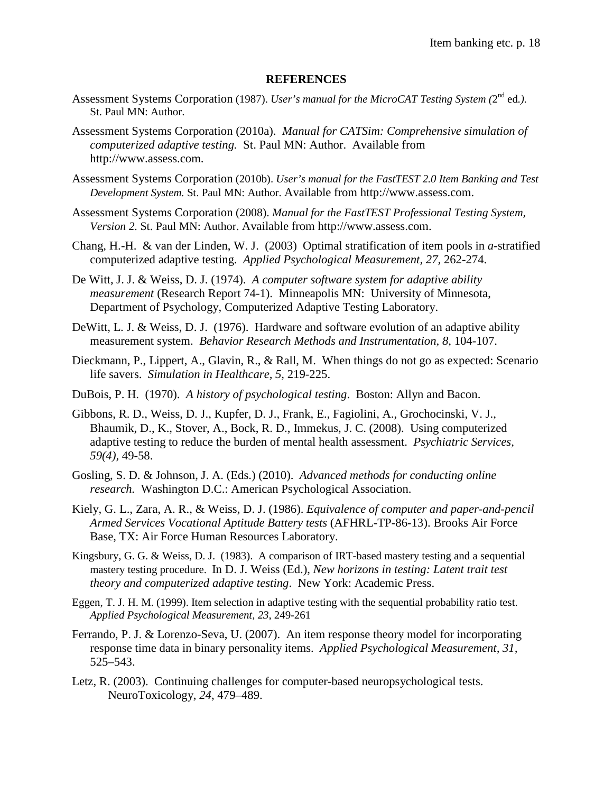#### **REFERENCES**

- Assessment Systems Corporation (1987). *User's manual for the MicroCAT Testing System (2<sup>nd</sup> ed.).* St. Paul MN: Author.
- Assessment Systems Corporation (2010a). *Manual for CATSim: Comprehensive simulation of computerized adaptive testing.* St. Paul MN: Author. Available from http://www.assess.com.
- Assessment Systems Corporation (2010b). *User's manual for the FastTEST 2.0 Item Banking and Test Development System.* St. Paul MN: Author. Available from http://www.assess.com.
- Assessment Systems Corporation (2008). *Manual for the FastTEST Professional Testing System, Version 2.* St. Paul MN: Author. Available from http://www.assess.com.
- Chang, H.-H. & van der Linden, W. J. (2003) Optimal stratification of item pools in *a*-stratified computerized adaptive testing. *Applied Psychological Measurement, 27,* 262-274.
- De Witt, J. J. & Weiss, D. J. (1974). *A computer software system for adaptive ability measurement* (Research Report 74-1). Minneapolis MN: University of Minnesota, Department of Psychology, Computerized Adaptive Testing Laboratory.
- DeWitt, L. J. & Weiss, D. J. (1976). Hardware and software evolution of an adaptive ability measurement system. *Behavior Research Methods and Instrumentation, 8,* 104-107.
- Dieckmann, P., Lippert, A., Glavin, R., & Rall, M. When things do not go as expected: Scenario life savers. *Simulation in Healthcare, 5,* 219-225.
- DuBois, P. H. (1970). *A history of psychological testing*. Boston: Allyn and Bacon.
- Gibbons, R. D., Weiss, D. J., Kupfer, D. J., Frank, E., Fagiolini, A., Grochocinski, V. J., Bhaumik, D., K., Stover, A., Bock, R. D., Immekus, J. C. (2008). Using computerized adaptive testing to reduce the burden of mental health assessment. *Psychiatric Services, 59(4),* 49-58.
- Gosling, S. D. & Johnson, J. A. (Eds.) (2010). *Advanced methods for conducting online research.* Washington D.C.: American Psychological Association.
- Kiely, G. L., Zara, A. R., & Weiss, D. J. (1986). *Equivalence of computer and paper-and-pencil Armed Services Vocational Aptitude Battery tests* (AFHRL-TP-86-13). Brooks Air Force Base, TX: Air Force Human Resources Laboratory.
- Kingsbury, G. G. & Weiss, D. J. (1983). A comparison of IRT-based mastery testing and a sequential mastery testing procedure. In D. J. Weiss (Ed.), *New horizons in testing: Latent trait test theory and computerized adaptive testing*. New York: Academic Press.
- Eggen, T. J. H. M. (1999). Item selection in adaptive testing with the sequential probability ratio test. *Applied Psychological Measurement, 23*, 249-261
- Ferrando, P. J. & Lorenzo-Seva, U. (2007). An item response theory model for incorporating response time data in binary personality items. *Applied Psychological Measurement, 31,* 525–543.
- Letz, R. (2003). Continuing challenges for computer-based neuropsychological tests. NeuroToxicology, *24*, 479–489.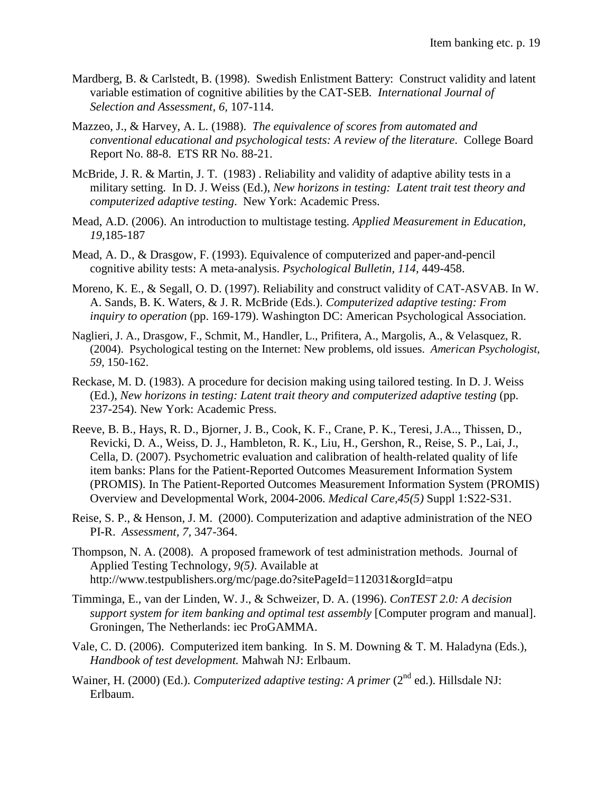- Mardberg, B. & Carlstedt, B. (1998). Swedish Enlistment Battery: Construct validity and latent variable estimation of cognitive abilities by the CAT-SEB*. International Journal of Selection and Assessment, 6,* 107-114.
- Mazzeo, J., & Harvey, A. L. (1988). *The equivalence of scores from automated and conventional educational and psychological tests: A review of the literature*. College Board Report No. 88-8. ETS RR No. 88-21.
- McBride, J. R. & Martin, J. T. (1983) . Reliability and validity of adaptive ability tests in a military setting. In D. J. Weiss (Ed.), *New horizons in testing: Latent trait test theory and computerized adaptive testing*. New York: Academic Press.
- Mead, A.D. (2006). An introduction to multistage testing. *Applied Measurement in Education, 19,*185-187
- Mead, A. D., & Drasgow, F. (1993). Equivalence of computerized and paper-and-pencil cognitive ability tests: A meta-analysis. *Psychological Bulletin, 114,* 449-458.
- Moreno, K. E., & Segall, O. D. (1997). Reliability and construct validity of CAT-ASVAB. In W. A. Sands, B. K. Waters, & J. R. McBride (Eds.). *Computerized adaptive testing: From inquiry to operation* (pp. 169-179). Washington DC: American Psychological Association.
- Naglieri, J. A., Drasgow, F., Schmit, M., Handler, L., Prifitera, A., Margolis, A., & Velasquez, R. (2004). Psychological testing on the Internet: New problems, old issues. *American Psychologist, 59,* 150-162.
- Reckase, M. D. (1983). A procedure for decision making using tailored testing. In D. J. Weiss (Ed.), *New horizons in testing: Latent trait theory and computerized adaptive testing* (pp. 237-254). New York: Academic Press.
- Reeve, B. B., Hays, R. D., Bjorner, J. B., Cook, K. F., Crane, P. K., Teresi, J.A.., Thissen, D., Revicki, D. A., Weiss, D. J., Hambleton, R. K., Liu, H., Gershon, R., Reise, S. P., Lai, J., Cella, D. (2007). Psychometric evaluation and calibration of health-related quality of life item banks: Plans for the Patient-Reported Outcomes Measurement Information System (PROMIS). In The Patient-Reported Outcomes Measurement Information System (PROMIS) Overview and Developmental Work, 2004-2006. *Medical Care,45(5)* Suppl 1:S22-S31.
- Reise, S. P., & Henson, J. M. (2000). Computerization and adaptive administration of the NEO PI-R. *Assessment, 7,* 347-364.
- Thompson, N. A. (2008). A proposed framework of test administration methods. Journal of Applied Testing Technology, *9(5)*. Available at http://www.testpublishers.org/mc/page.do?sitePageId=112031&orgId=atpu
- Timminga, E., van der Linden, W. J., & Schweizer, D. A. (1996). *ConTEST 2.0: A decision support system for item banking and optimal test assembly* [Computer program and manual]. Groningen, The Netherlands: iec ProGAMMA.
- Vale, C. D. (2006). Computerized item banking. In S. M. Downing & T. M. Haladyna (Eds.), *Handbook of test development.* Mahwah NJ: Erlbaum.
- Wainer, H. (2000) (Ed.). *Computerized adaptive testing: A primer* (2<sup>nd</sup> ed.). Hillsdale NJ: Erlbaum.